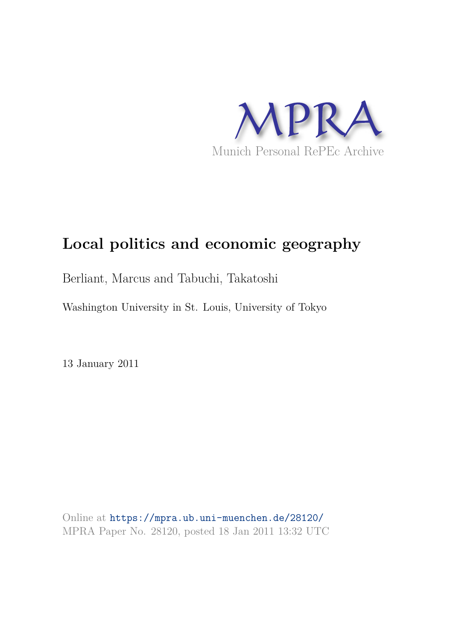

# **Local politics and economic geography**

Berliant, Marcus and Tabuchi, Takatoshi

Washington University in St. Louis, University of Tokyo

13 January 2011

Online at https://mpra.ub.uni-muenchen.de/28120/ MPRA Paper No. 28120, posted 18 Jan 2011 13:32 UTC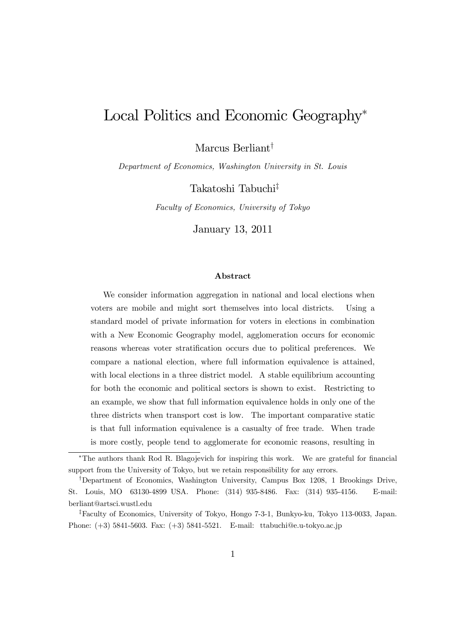# Local Politics and Economic Geography<sup>∗</sup>

Marcus Berliant†

Department of Economics, Washington University in St. Louis

Takatoshi Tabuchi‡

Faculty of Economics, University of Tokyo

January 13, 2011

#### Abstract

We consider information aggregation in national and local elections when voters are mobile and might sort themselves into local districts. Using a standard model of private information for voters in elections in combination with a New Economic Geography model, agglomeration occurs for economic reasons whereas voter stratification occurs due to political preferences. We compare a national election, where full information equivalence is attained, with local elections in a three district model. A stable equilibrium accounting for both the economic and political sectors is shown to exist. Restricting to an example, we show that full information equivalence holds in only one of the three districts when transport cost is low. The important comparative static is that full information equivalence is a casualty of free trade. When trade is more costly, people tend to agglomerate for economic reasons, resulting in

<sup>∗</sup>The authors thank Rod R. Blagojevich for inspiring this work. We are grateful for financial support from the University of Tokyo, but we retain responsibility for any errors.

<sup>†</sup>Department of Economics, Washington University, Campus Box 1208, 1 Brookings Drive, St. Louis, MO 63130-4899 USA. Phone: (314) 935-8486. Fax: (314) 935-4156. E-mail: berliant@artsci.wustl.edu

<sup>‡</sup>Faculty of Economics, University of Tokyo, Hongo 7-3-1, Bunkyo-ku, Tokyo 113-0033, Japan. Phone: (+3) 5841-5603. Fax: (+3) 5841-5521. E-mail: ttabuchi@e.u-tokyo.ac.jp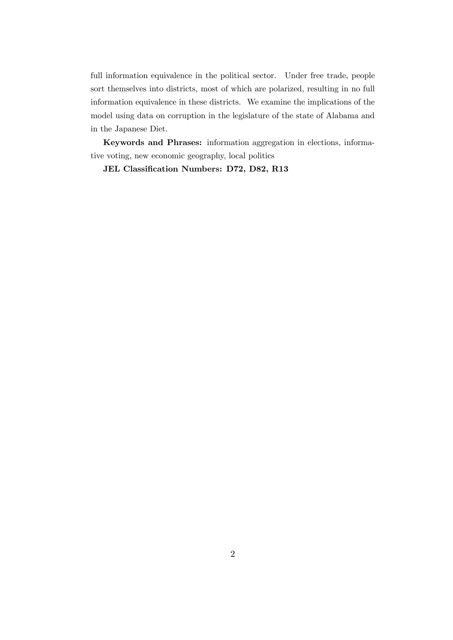full information equivalence in the political sector. Under free trade, people sort themselves into districts, most of which are polarized, resulting in no full information equivalence in these districts. We examine the implications of the model using data on corruption in the legislature of the state of Alabama and in the Japanese Diet.

Keywords and Phrases: information aggregation in elections, informative voting, new economic geography, local politics

JEL Classification Numbers: D72, D82, R13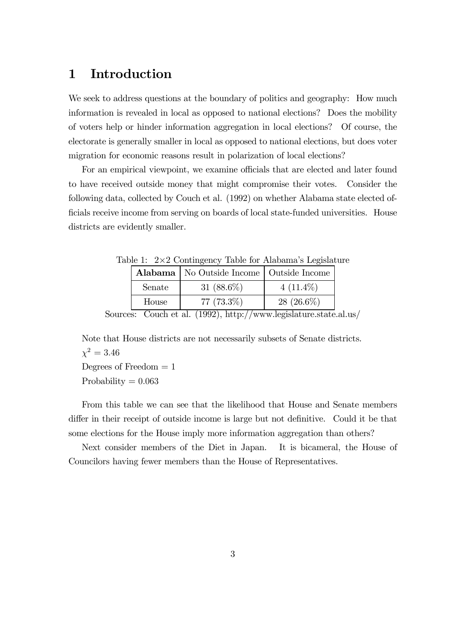# 1 Introduction

We seek to address questions at the boundary of politics and geography: How much information is revealed in local as opposed to national elections? Does the mobility of voters help or hinder information aggregation in local elections? Of course, the electorate is generally smaller in local as opposed to national elections, but does voter migration for economic reasons result in polarization of local elections?

For an empirical viewpoint, we examine officials that are elected and later found to have received outside money that might compromise their votes. Consider the following data, collected by Couch et al. (1992) on whether Alabama state elected officials receive income from serving on boards of local state-funded universities. House districts are evidently smaller.

| $\mu$ DIC 1. 2012 COHUILISCHU TADIU IOI THADAIHA B LUSIBIAU |        | <b>Alabama</b>   No Outside Income   Outside Income |              |
|-------------------------------------------------------------|--------|-----------------------------------------------------|--------------|
|                                                             | Senate | 31 $(88.6\%)$                                       | $4(11.4\%)$  |
|                                                             | House  | $77(73.3\%)$                                        | $28(26.6\%)$ |

Table 1:  $2 \times 2$  Contingency Table for Alabama's Legislature

Sources: Couch et al. (1992), http://www.legislature.state.al.us/

Note that House districts are not necessarily subsets of Senate districts.  $\chi^2 = 3.46$ 

Degrees of Freedom  $= 1$ 

Probability  $= 0.063$ 

From this table we can see that the likelihood that House and Senate members differ in their receipt of outside income is large but not definitive. Could it be that some elections for the House imply more information aggregation than others?

Next consider members of the Diet in Japan. It is bicameral, the House of Councilors having fewer members than the House of Representatives.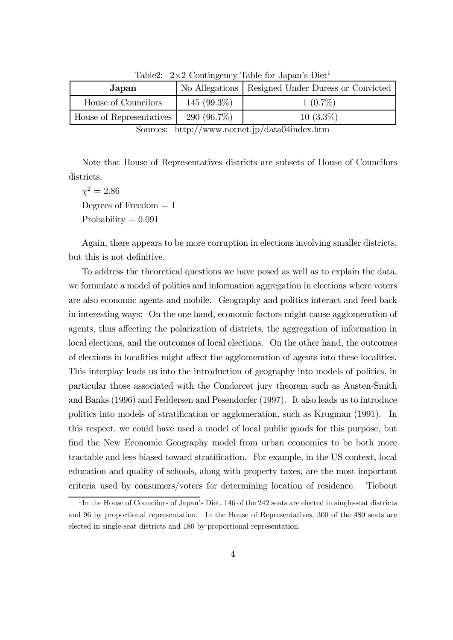| Japan                    |                | No Allegations   Resigned Under Duress or Convicted |
|--------------------------|----------------|-----------------------------------------------------|
| House of Councilors      | 145 $(99.3\%)$ | $1(0.7\%)$                                          |
| House of Representatives | 290 $(96.7\%)$ | $10(3.3\%)$                                         |

Table2:  $2 \times 2$  Contingency Table for Japan's Diet<sup>1</sup>

Note that House of Representatives districts are subsets of House of Councilors districts.

 $\chi^2 = 2.86$ Degrees of Freedom  $= 1$ Probability  $= 0.091$ 

Again, there appears to be more corruption in elections involving smaller districts, but this is not definitive.

To address the theoretical questions we have posed as well as to explain the data, we formulate a model of politics and information aggregation in elections where voters are also economic agents and mobile. Geography and politics interact and feed back in interesting ways: On the one hand, economic factors might cause agglomeration of agents, thus affecting the polarization of districts, the aggregation of information in local elections, and the outcomes of local elections. On the other hand, the outcomes of elections in localities might affect the agglomeration of agents into these localities. This interplay leads us into the introduction of geography into models of politics, in particular those associated with the Condorcet jury theorem such as Austen-Smith and Banks (1996) and Feddersen and Pesendorfer (1997). It also leads us to introduce politics into models of stratification or agglomeration, such as Krugman (1991). In this respect, we could have used a model of local public goods for this purpose, but find the New Economic Geography model from urban economics to be both more tractable and less biased toward stratification. For example, in the US context, local education and quality of schools, along with property taxes, are the most important criteria used by consumers/voters for determining location of residence. Tiebout

Sources: http://www.notnet.jp/data04index.htm

<sup>&</sup>lt;sup>1</sup>In the House of Councilors of Japan's Diet, 146 of the 242 seats are elected in single-seat districts and 96 by proportional representation. In the House of Representatives, 300 of the 480 seats are elected in single-seat districts and 180 by proportional representation.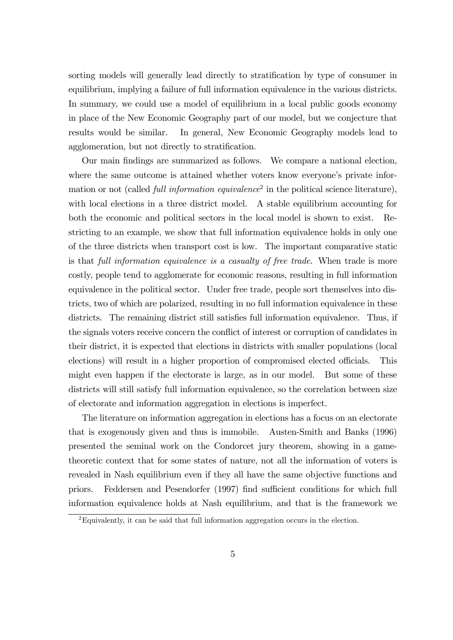sorting models will generally lead directly to stratification by type of consumer in equilibrium, implying a failure of full information equivalence in the various districts. In summary, we could use a model of equilibrium in a local public goods economy in place of the New Economic Geography part of our model, but we conjecture that results would be similar. In general, New Economic Geography models lead to agglomeration, but not directly to stratification.

Our main findings are summarized as follows. We compare a national election, where the same outcome is attained whether voters know everyone's private information or not (called *full information equivalence*<sup>2</sup> in the political science literature), with local elections in a three district model. A stable equilibrium accounting for both the economic and political sectors in the local model is shown to exist. Restricting to an example, we show that full information equivalence holds in only one of the three districts when transport cost is low. The important comparative static is that full information equivalence is a casualty of free trade. When trade is more costly, people tend to agglomerate for economic reasons, resulting in full information equivalence in the political sector. Under free trade, people sort themselves into districts, two of which are polarized, resulting in no full information equivalence in these districts. The remaining district still satisfies full information equivalence. Thus, if the signals voters receive concern the conflict of interest or corruption of candidates in their district, it is expected that elections in districts with smaller populations (local elections) will result in a higher proportion of compromised elected officials. This might even happen if the electorate is large, as in our model. But some of these districts will still satisfy full information equivalence, so the correlation between size of electorate and information aggregation in elections is imperfect.

The literature on information aggregation in elections has a focus on an electorate that is exogenously given and thus is immobile. Austen-Smith and Banks (1996) presented the seminal work on the Condorcet jury theorem, showing in a gametheoretic context that for some states of nature, not all the information of voters is revealed in Nash equilibrium even if they all have the same objective functions and priors. Feddersen and Pesendorfer (1997) find sufficient conditions for which full information equivalence holds at Nash equilibrium, and that is the framework we

<sup>2</sup>Equivalently, it can be said that full information aggregation occurs in the election.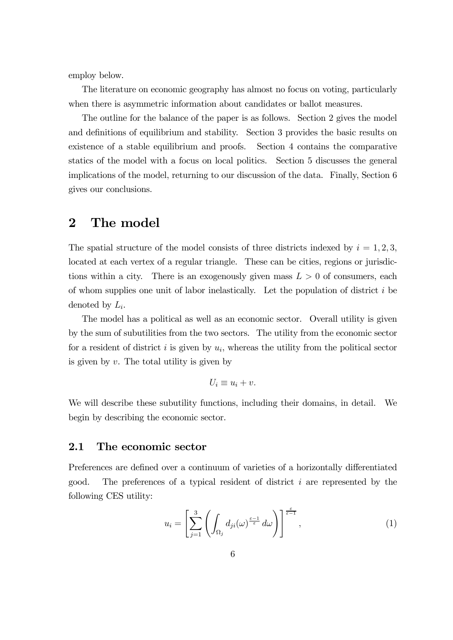employ below.

The literature on economic geography has almost no focus on voting, particularly when there is asymmetric information about candidates or ballot measures.

The outline for the balance of the paper is as follows. Section 2 gives the model and definitions of equilibrium and stability. Section 3 provides the basic results on existence of a stable equilibrium and proofs. Section 4 contains the comparative statics of the model with a focus on local politics. Section 5 discusses the general implications of the model, returning to our discussion of the data. Finally, Section 6 gives our conclusions.

## 2 The model

The spatial structure of the model consists of three districts indexed by  $i = 1, 2, 3$ , located at each vertex of a regular triangle. These can be cities, regions or jurisdictions within a city. There is an exogenously given mass  $L > 0$  of consumers, each of whom supplies one unit of labor inelastically. Let the population of district  $i$  be denoted by  $L_i$ .

The model has a political as well as an economic sector. Overall utility is given by the sum of subutilities from the two sectors. The utility from the economic sector for a resident of district  $i$  is given by  $u_i$ , whereas the utility from the political sector is given by  $v$ . The total utility is given by

$$
U_i \equiv u_i + v.
$$

We will describe these subutility functions, including their domains, in detail. We begin by describing the economic sector.

#### 2.1 The economic sector

Preferences are defined over a continuum of varieties of a horizontally differentiated good. The preferences of a typical resident of district  $i$  are represented by the following CES utility:

$$
u_i = \left[\sum_{j=1}^3 \left(\int_{\Omega_j} d_{ji}(\omega)^{\frac{\varepsilon-1}{\varepsilon}} d\omega\right)\right]^{\frac{\varepsilon}{\varepsilon-1}},\tag{1}
$$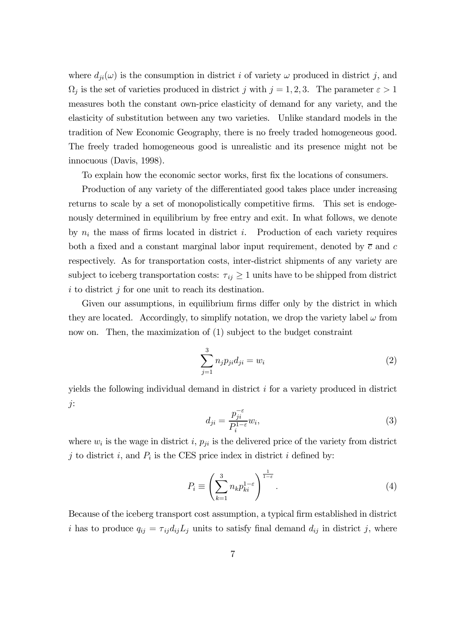where  $d_{ji}(\omega)$  is the consumption in district i of variety  $\omega$  produced in district j, and  $\Omega_j$  is the set of varieties produced in district j with  $j = 1, 2, 3$ . The parameter  $\varepsilon > 1$ measures both the constant own-price elasticity of demand for any variety, and the elasticity of substitution between any two varieties. Unlike standard models in the tradition of New Economic Geography, there is no freely traded homogeneous good. The freely traded homogeneous good is unrealistic and its presence might not be innocuous (Davis, 1998).

To explain how the economic sector works, first fix the locations of consumers.

Production of any variety of the differentiated good takes place under increasing returns to scale by a set of monopolistically competitive firms. This set is endogenously determined in equilibrium by free entry and exit. In what follows, we denote by  $n_i$  the mass of firms located in district i. Production of each variety requires both a fixed and a constant marginal labor input requirement, denoted by  $\bar{c}$  and c respectively. As for transportation costs, inter-district shipments of any variety are subject to iceberg transportation costs:  $\tau_{ij} \geq 1$  units have to be shipped from district  $i$  to district  $j$  for one unit to reach its destination.

Given our assumptions, in equilibrium firms differ only by the district in which they are located. Accordingly, to simplify notation, we drop the variety label  $\omega$  from now on. Then, the maximization of (1) subject to the budget constraint

$$
\sum_{j=1}^{3} n_j p_{ji} d_{ji} = w_i
$$
 (2)

yields the following individual demand in district  $i$  for a variety produced in district j:

$$
d_{ji} = \frac{p_{ji}^{-\varepsilon}}{P_i^{1-\varepsilon}} w_i,
$$
\n(3)

where  $w_i$  is the wage in district i,  $p_{ji}$  is the delivered price of the variety from district j to district i, and  $P_i$  is the CES price index in district i defined by:

$$
P_i \equiv \left(\sum_{k=1}^3 n_k p_{ki}^{1-\varepsilon}\right)^{\frac{1}{1-\varepsilon}}.\tag{4}
$$

Because of the iceberg transport cost assumption, a typical firm established in district i has to produce  $q_{ij} = \tau_{ij} d_{ij} L_j$  units to satisfy final demand  $d_{ij}$  in district j, where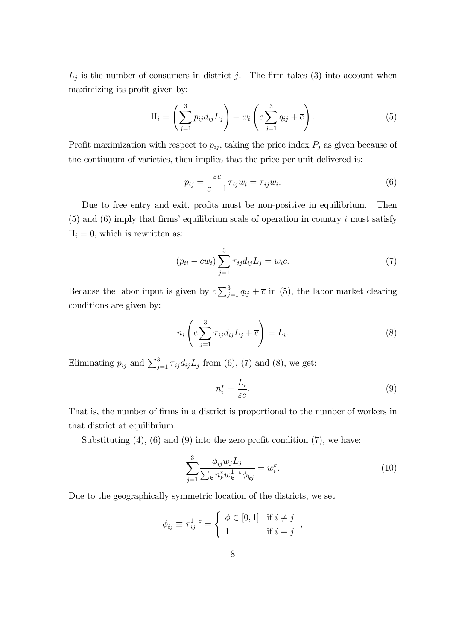$L_j$  is the number of consumers in district j. The firm takes (3) into account when maximizing its profit given by:

$$
\Pi_i = \left(\sum_{j=1}^3 p_{ij} d_{ij} L_j\right) - w_i \left(c \sum_{j=1}^3 q_{ij} + \overline{c}\right). \tag{5}
$$

Profit maximization with respect to  $p_{ij}$ , taking the price index  $P_j$  as given because of the continuum of varieties, then implies that the price per unit delivered is:

$$
p_{ij} = \frac{\varepsilon c}{\varepsilon - 1} \tau_{ij} w_i = \tau_{ij} w_i.
$$
\n(6)

Due to free entry and exit, profits must be non-positive in equilibrium. Then  $(5)$  and  $(6)$  imply that firms' equilibrium scale of operation in country i must satisfy  $\Pi_i = 0$ , which is rewritten as:

$$
(p_{ii} - cw_i) \sum_{j=1}^{3} \tau_{ij} d_{ij} L_j = w_i \overline{c}.
$$
 (7)

Because the labor input is given by  $c \sum_{j=1}^{3} q_{ij} + \overline{c}$  in (5), the labor market clearing conditions are given by:

$$
n_i \left( c \sum_{j=1}^3 \tau_{ij} d_{ij} L_j + \overline{c} \right) = L_i.
$$
 (8)

Eliminating  $p_{ij}$  and  $\sum_{j=1}^{3} \tau_{ij} d_{ij} L_j$  from (6), (7) and (8), we get:

$$
n_i^* = \frac{L_i}{\varepsilon \overline{c}}.\tag{9}
$$

That is, the number of firms in a district is proportional to the number of workers in that district at equilibrium.

Substituting  $(4)$ ,  $(6)$  and  $(9)$  into the zero profit condition  $(7)$ , we have:

$$
\sum_{j=1}^{3} \frac{\phi_{ij} w_j L_j}{\sum_k n_k^* w_k^{1-\varepsilon} \phi_{kj}} = w_i^{\varepsilon}.
$$
\n(10)

Due to the geographically symmetric location of the districts, we set

$$
\phi_{ij} \equiv \tau_{ij}^{1-\varepsilon} = \begin{cases} \phi \in [0,1] & \text{if } i \neq j \\ 1 & \text{if } i = j \end{cases},
$$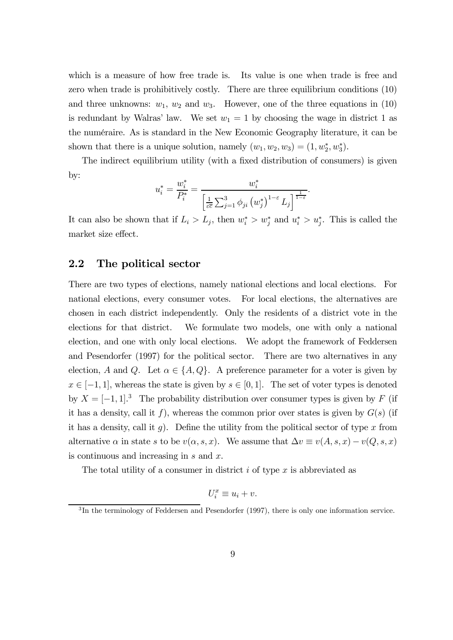which is a measure of how free trade is. Its value is one when trade is free and zero when trade is prohibitively costly. There are three equilibrium conditions (10) and three unknowns:  $w_1, w_2$  and  $w_3$ . However, one of the three equations in (10) is redundant by Walras' law. We set  $w_1 = 1$  by choosing the wage in district 1 as the numéraire. As is standard in the New Economic Geography literature, it can be shown that there is a unique solution, namely  $(w_1, w_2, w_3) = (1, w_2^*, w_3^*).$ 

The indirect equilibrium utility (with a fixed distribution of consumers) is given by:

$$
u_i^* = \frac{w_i^*}{P_i^*} = \frac{w_i^*}{\left[\frac{1}{\varepsilon \bar{c}} \sum_{j=1}^3 \phi_{ji} (w_j^*)^{1-\varepsilon} L_j\right]^{\frac{1}{1-\varepsilon}}}
$$

.

It can also be shown that if  $L_i > L_j$ , then  $w_i^* > w_j^*$  and  $u_i^* > u_j^*$ . This is called the market size effect.

## 2.2 The political sector

There are two types of elections, namely national elections and local elections. For national elections, every consumer votes. For local elections, the alternatives are chosen in each district independently. Only the residents of a district vote in the elections for that district. We formulate two models, one with only a national election, and one with only local elections. We adopt the framework of Feddersen and Pesendorfer (1997) for the political sector. There are two alternatives in any election, A and Q. Let  $\alpha \in \{A, Q\}$ . A preference parameter for a voter is given by  $x \in [-1, 1]$ , whereas the state is given by  $s \in [0, 1]$ . The set of voter types is denoted by  $X = [-1, 1]^3$  The probability distribution over consumer types is given by F (if it has a density, call it f), whereas the common prior over states is given by  $G(s)$  (if it has a density, call it  $g$ ). Define the utility from the political sector of type  $x$  from alternative  $\alpha$  in state s to be  $v(\alpha, s, x)$ . We assume that  $\Delta v \equiv v(A, s, x) - v(Q, s, x)$ is continuous and increasing in s and x.

The total utility of a consumer in district  $i$  of type  $x$  is abbreviated as

$$
U_i^x \equiv u_i + v.
$$

 ${}^{3}$ In the terminology of Feddersen and Pesendorfer (1997), there is only one information service.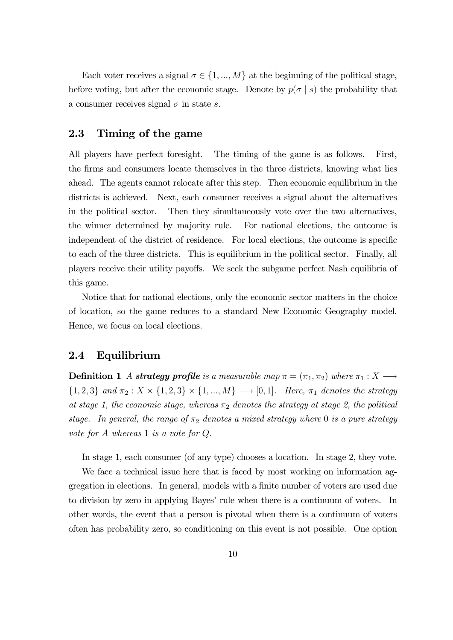Each voter receives a signal  $\sigma \in \{1, ..., M\}$  at the beginning of the political stage, before voting, but after the economic stage. Denote by  $p(\sigma | s)$  the probability that a consumer receives signal  $\sigma$  in state s.

### 2.3 Timing of the game

All players have perfect foresight. The timing of the game is as follows. First, the firms and consumers locate themselves in the three districts, knowing what lies ahead. The agents cannot relocate after this step. Then economic equilibrium in the districts is achieved. Next, each consumer receives a signal about the alternatives in the political sector. Then they simultaneously vote over the two alternatives, the winner determined by majority rule. For national elections, the outcome is independent of the district of residence. For local elections, the outcome is specific to each of the three districts. This is equilibrium in the political sector. Finally, all players receive their utility payoffs. We seek the subgame perfect Nash equilibria of this game.

Notice that for national elections, only the economic sector matters in the choice of location, so the game reduces to a standard New Economic Geography model. Hence, we focus on local elections.

### 2.4 Equilibrium

**Definition 1** A strategy profile is a measurable map  $\pi = (\pi_1, \pi_2)$  where  $\pi_1 : X \longrightarrow$  ${1, 2, 3}$  and  $\pi_2 : X \times \{1, 2, 3\} \times \{1, ..., M\} \longrightarrow [0, 1]$ . Here,  $\pi_1$  denotes the strategy at stage 1, the economic stage, whereas  $\pi_2$  denotes the strategy at stage 2, the political stage. In general, the range of  $\pi_2$  denotes a mixed strategy where 0 is a pure strategy vote for A whereas 1 is a vote for Q.

In stage 1, each consumer (of any type) chooses a location. In stage 2, they vote.

We face a technical issue here that is faced by most working on information aggregation in elections. In general, models with a finite number of voters are used due to division by zero in applying Bayes' rule when there is a continuum of voters. In other words, the event that a person is pivotal when there is a continuum of voters often has probability zero, so conditioning on this event is not possible. One option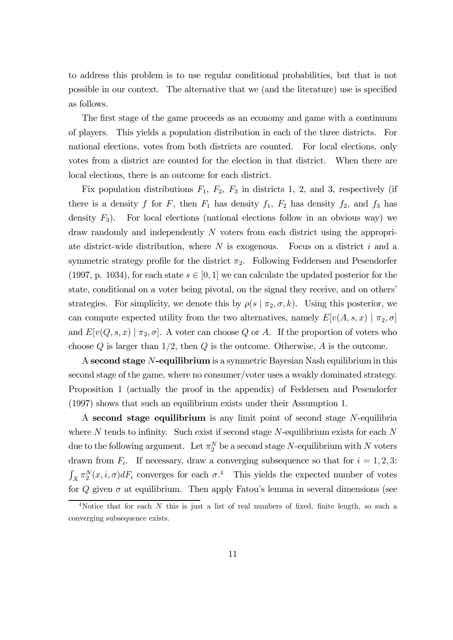to address this problem is to use regular conditional probabilities, but that is not possible in our context. The alternative that we (and the literature) use is specified as follows.

The first stage of the game proceeds as an economy and game with a continuum of players. This yields a population distribution in each of the three districts. For national elections, votes from both districts are counted. For local elections, only votes from a district are counted for the election in that district. When there are local elections, there is an outcome for each district.

Fix population distributions  $F_1$ ,  $F_2$ ,  $F_3$  in districts 1, 2, and 3, respectively (if there is a density f for F, then  $F_1$  has density  $f_1$ ,  $F_2$  has density  $f_2$ , and  $f_3$  has density  $F_3$ ). For local elections (national elections follow in an obvious way) we draw randomly and independently N voters from each district using the appropriate district-wide distribution, where  $N$  is exogenous. Focus on a district  $i$  and a symmetric strategy profile for the district  $\pi_2$ . Following Feddersen and Pesendorfer (1997, p. 1034), for each state  $s \in [0, 1]$  we can calculate the updated posterior for the state, conditional on a voter being pivotal, on the signal they receive, and on others' strategies. For simplicity, we denote this by  $\rho(s | \pi_2, \sigma, k)$ . Using this posterior, we can compute expected utility from the two alternatives, namely  $E[v(A, s, x) | \pi_2, \sigma]$ and  $E[v(Q, s, x) | \pi_2, \sigma]$ . A voter can choose Q or A. If the proportion of voters who choose  $Q$  is larger than  $1/2$ , then  $Q$  is the outcome. Otherwise,  $A$  is the outcome.

A second stage N-equilibrium is a symmetric Bayesian Nash equilibrium in this second stage of the game, where no consumer/voter uses a weakly dominated strategy. Proposition 1 (actually the proof in the appendix) of Feddersen and Pesendorfer (1997) shows that such an equilibrium exists under their Assumption 1.

A second stage equilibrium is any limit point of second stage N-equilibria where N tends to infinity. Such exist if second stage  $N$ -equilibrium exists for each  $N$ due to the following argument. Let  $\pi_2^N$  be a second stage N-equilibrium with N voters drawn from  $F_i$ . If necessary, draw a converging subsequence so that for  $i = 1, 2, 3$ :  $\int_X \pi_2^N(x, i, \sigma) dF_i$  converges for each  $\sigma$ .<sup>4</sup> This yields the expected number of votes for  $Q$  given  $\sigma$  at equilibrium. Then apply Fatou's lemma in several dimensions (see

<sup>&</sup>lt;sup>4</sup>Notice that for each N this is just a list of real numbers of fixed, finite length, so such a converging subsequence exists.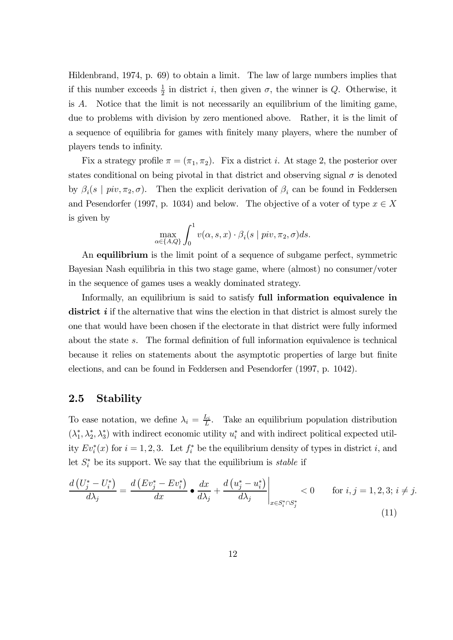Hildenbrand, 1974, p. 69) to obtain a limit. The law of large numbers implies that if this number exceeds  $\frac{1}{2}$  in district *i*, then given  $\sigma$ , the winner is *Q*. Otherwise, it is  $\tilde{A}$ . Notice that the limit is not necessarily an equilibrium of the limiting game, due to problems with division by zero mentioned above. Rather, it is the limit of a sequence of equilibria for games with finitely many players, where the number of players tends to infinity.

Fix a strategy profile  $\pi = (\pi_1, \pi_2)$ . Fix a district *i*. At stage 2, the posterior over states conditional on being pivotal in that district and observing signal  $\sigma$  is denoted by  $\beta_i(s \mid \text{piv}, \pi_2, \sigma)$ . Then the explicit derivation of  $\beta_i$  can be found in Feddersen and Pesendorfer (1997, p. 1034) and below. The objective of a voter of type  $x \in X$ is given by

$$
\max_{\alpha \in \{A,Q\}} \int_0^1 v(\alpha, s, x) \cdot \beta_i(s \mid piv, \pi_2, \sigma) ds.
$$

An equilibrium is the limit point of a sequence of subgame perfect, symmetric Bayesian Nash equilibria in this two stage game, where (almost) no consumer/voter in the sequence of games uses a weakly dominated strategy.

Informally, an equilibrium is said to satisfy full information equivalence in district i if the alternative that wins the election in that district is almost surely the one that would have been chosen if the electorate in that district were fully informed about the state s. The formal definition of full information equivalence is technical because it relies on statements about the asymptotic properties of large but finite elections, and can be found in Feddersen and Pesendorfer (1997, p. 1042).

## 2.5 Stability

To ease notation, we define  $\lambda_i = \frac{L_i}{L_i}$  $\frac{L_i}{L}$ . Take an equilibrium population distribution  $(\lambda_1^*, \lambda_2^*, \lambda_3^*)$  with indirect economic utility  $u_i^*$  and with indirect political expected utility  $Ev_i^*(x)$  for  $i = 1, 2, 3$ . Let  $f_i^*$  be the equilibrium density of types in district i, and let  $S_i^*$  be its support. We say that the equilibrium is *stable* if

$$
\frac{d\left(U_j^* - U_i^*\right)}{d\lambda_j} = \frac{d\left(Ev_j^* - Ev_i^*\right)}{dx} \bullet \frac{dx}{d\lambda_j} + \frac{d\left(u_j^* - u_i^*\right)}{d\lambda_j}\Big|_{x \in S_i^* \cap S_j^*} < 0 \quad \text{for } i, j = 1, 2, 3; i \neq j. \tag{11}
$$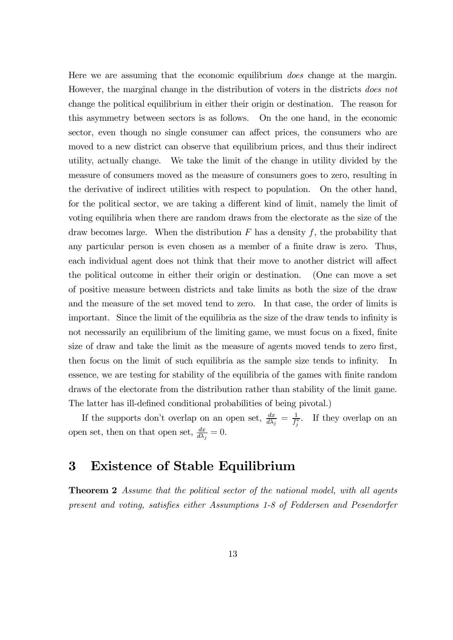Here we are assuming that the economic equilibrium does change at the margin. However, the marginal change in the distribution of voters in the districts does not change the political equilibrium in either their origin or destination. The reason for this asymmetry between sectors is as follows. On the one hand, in the economic sector, even though no single consumer can affect prices, the consumers who are moved to a new district can observe that equilibrium prices, and thus their indirect utility, actually change. We take the limit of the change in utility divided by the measure of consumers moved as the measure of consumers goes to zero, resulting in the derivative of indirect utilities with respect to population. On the other hand, for the political sector, we are taking a different kind of limit, namely the limit of voting equilibria when there are random draws from the electorate as the size of the draw becomes large. When the distribution  $F$  has a density  $f$ , the probability that any particular person is even chosen as a member of a finite draw is zero. Thus, each individual agent does not think that their move to another district will affect the political outcome in either their origin or destination. (One can move a set of positive measure between districts and take limits as both the size of the draw and the measure of the set moved tend to zero. In that case, the order of limits is important. Since the limit of the equilibria as the size of the draw tends to infinity is not necessarily an equilibrium of the limiting game, we must focus on a fixed, finite size of draw and take the limit as the measure of agents moved tends to zero first, then focus on the limit of such equilibria as the sample size tends to infinity. In essence, we are testing for stability of the equilibria of the games with finite random draws of the electorate from the distribution rather than stability of the limit game. The latter has ill-defined conditional probabilities of being pivotal.)

If the supports don't overlap on an open set,  $\frac{dx}{d\lambda_j} = \frac{1}{f_j}$  $\frac{1}{f_j^*}$ . If they overlap on an open set, then on that open set,  $\frac{dx}{d\lambda_j} = 0$ .

# 3 Existence of Stable Equilibrium

**Theorem 2** Assume that the political sector of the national model, with all agents present and voting, satisfies either Assumptions 1-8 of Feddersen and Pesendorfer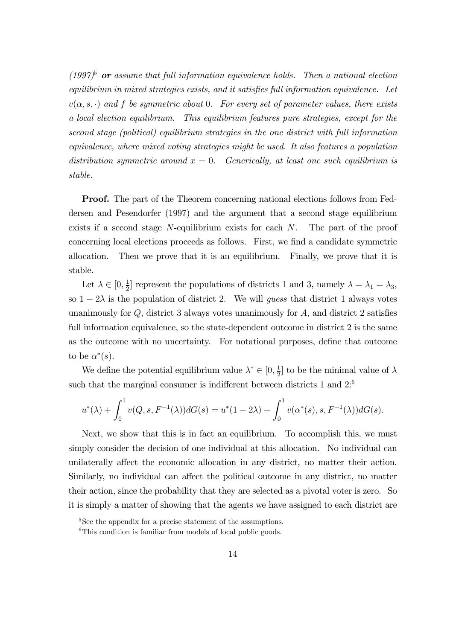$(1997)^5$  or assume that full information equivalence holds. Then a national election equilibrium in mixed strategies exists, and it satisfies full information equivalence. Let  $v(\alpha, s, \cdot)$  and f be symmetric about 0. For every set of parameter values, there exists a local election equilibrium. This equilibrium features pure strategies, except for the second stage (political) equilibrium strategies in the one district with full information equivalence, where mixed voting strategies might be used. It also features a population distribution symmetric around  $x = 0$ . Generically, at least one such equilibrium is stable.

Proof. The part of the Theorem concerning national elections follows from Feddersen and Pesendorfer (1997) and the argument that a second stage equilibrium exists if a second stage N-equilibrium exists for each N. The part of the proof concerning local elections proceeds as follows. First, we find a candidate symmetric allocation. Then we prove that it is an equilibrium. Finally, we prove that it is stable.

Let  $\lambda \in [0, \frac{1}{2}]$  $\frac{1}{2}$  represent the populations of districts 1 and 3, namely  $\lambda = \lambda_1 = \lambda_3$ , so  $1 - 2\lambda$  is the population of district 2. We will guess that district 1 always votes unanimously for  $Q$ , district 3 always votes unanimously for  $A$ , and district 2 satisfies full information equivalence, so the state-dependent outcome in district 2 is the same as the outcome with no uncertainty. For notational purposes, define that outcome to be  $\alpha^*(s)$ .

We define the potential equilibrium value  $\lambda^* \in [0, \frac{1}{2}]$  $\frac{1}{2}$  to be the minimal value of  $\lambda$ such that the marginal consumer is indifferent between districts 1 and  $2^{6}$ 

$$
u^*(\lambda) + \int_0^1 v(Q, s, F^{-1}(\lambda)) dG(s) = u^*(1 - 2\lambda) + \int_0^1 v(\alpha^*(s), s, F^{-1}(\lambda)) dG(s).
$$

Next, we show that this is in fact an equilibrium. To accomplish this, we must simply consider the decision of one individual at this allocation. No individual can unilaterally affect the economic allocation in any district, no matter their action. Similarly, no individual can affect the political outcome in any district, no matter their action, since the probability that they are selected as a pivotal voter is zero. So it is simply a matter of showing that the agents we have assigned to each district are

<sup>&</sup>lt;sup>5</sup>See the appendix for a precise statement of the assumptions.

 ${}^{6}$ This condition is familiar from models of local public goods.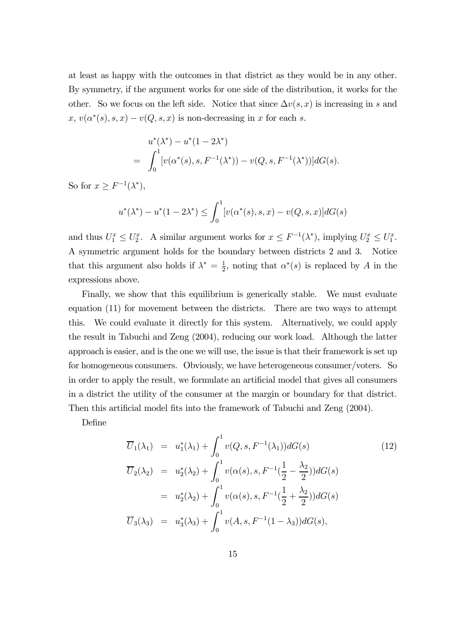at least as happy with the outcomes in that district as they would be in any other. By symmetry, if the argument works for one side of the distribution, it works for the other. So we focus on the left side. Notice that since  $\Delta v(s, x)$  is increasing in s and  $x, v(\alpha^*(s), s, x) - v(Q, s, x)$  is non-decreasing in x for each s.

$$
u^*(\lambda^*) - u^*(1 - 2\lambda^*)
$$
  
= 
$$
\int_0^1 [v(\alpha^*(s), s, F^{-1}(\lambda^*)) - v(Q, s, F^{-1}(\lambda^*))] dG(s).
$$

So for  $x \geq F^{-1}(\lambda^*),$ 

$$
u^*(\lambda^*) - u^*(1 - 2\lambda^*) \le \int_0^1 [v(\alpha^*(s), s, x) - v(Q, s, x)]dG(s)
$$

and thus  $U_1^x \leq U_2^x$ . A similar argument works for  $x \leq F^{-1}(\lambda^*)$ , implying  $U_2^x \leq U_1^x$ . A symmetric argument holds for the boundary between districts 2 and 3. Notice that this argument also holds if  $\lambda^* = \frac{1}{2}$  $\frac{1}{2}$ , noting that  $\alpha^*(s)$  is replaced by A in the expressions above.

Finally, we show that this equilibrium is generically stable. We must evaluate equation (11) for movement between the districts. There are two ways to attempt this. We could evaluate it directly for this system. Alternatively, we could apply the result in Tabuchi and Zeng (2004), reducing our work load. Although the latter approach is easier, and is the one we will use, the issue is that their framework is set up for homogeneous consumers. Obviously, we have heterogeneous consumer/voters. So in order to apply the result, we formulate an artificial model that gives all consumers in a district the utility of the consumer at the margin or boundary for that district. Then this artificial model fits into the framework of Tabuchi and Zeng (2004).

Define

$$
\overline{U}_{1}(\lambda_{1}) = u_{1}^{*}(\lambda_{1}) + \int_{0}^{1} v(Q, s, F^{-1}(\lambda_{1})) dG(s)
$$
\n
$$
\overline{U}_{2}(\lambda_{2}) = u_{2}^{*}(\lambda_{2}) + \int_{0}^{1} v(\alpha(s), s, F^{-1}(\frac{1}{2} - \frac{\lambda_{2}}{2})) dG(s)
$$
\n
$$
= u_{2}^{*}(\lambda_{2}) + \int_{0}^{1} v(\alpha(s), s, F^{-1}(\frac{1}{2} + \frac{\lambda_{2}}{2})) dG(s)
$$
\n
$$
\overline{U}_{3}(\lambda_{3}) = u_{3}^{*}(\lambda_{3}) + \int_{0}^{1} v(A, s, F^{-1}(1 - \lambda_{3})) dG(s),
$$
\n(12)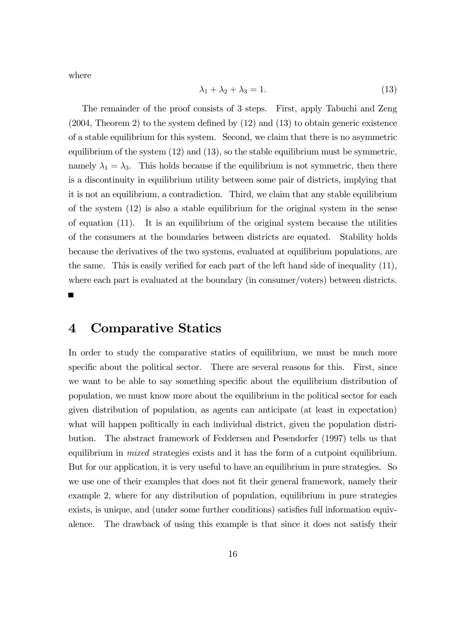where

$$
\lambda_1 + \lambda_2 + \lambda_3 = 1. \tag{13}
$$

The remainder of the proof consists of 3 steps. First, apply Tabuchi and Zeng (2004, Theorem 2) to the system defined by (12) and (13) to obtain generic existence of a stable equilibrium for this system. Second, we claim that there is no asymmetric equilibrium of the system (12) and (13), so the stable equilibrium must be symmetric, namely  $\lambda_1 = \lambda_3$ . This holds because if the equilibrium is not symmetric, then there is a discontinuity in equilibrium utility between some pair of districts, implying that it is not an equilibrium, a contradiction. Third, we claim that any stable equilibrium of the system (12) is also a stable equilibrium for the original system in the sense of equation (11). It is an equilibrium of the original system because the utilities of the consumers at the boundaries between districts are equated. Stability holds because the derivatives of the two systems, evaluated at equilibrium populations, are the same. This is easily verified for each part of the left hand side of inequality (11), where each part is evaluated at the boundary (in consumer/voters) between districts.

## 4 Comparative Statics

In order to study the comparative statics of equilibrium, we must be much more specific about the political sector. There are several reasons for this. First, since we want to be able to say something specific about the equilibrium distribution of population, we must know more about the equilibrium in the political sector for each given distribution of population, as agents can anticipate (at least in expectation) what will happen politically in each individual district, given the population distribution. The abstract framework of Feddersen and Pesendorfer (1997) tells us that equilibrium in mixed strategies exists and it has the form of a cutpoint equilibrium. But for our application, it is very useful to have an equilibrium in pure strategies. So we use one of their examples that does not fit their general framework, namely their example 2, where for any distribution of population, equilibrium in pure strategies exists, is unique, and (under some further conditions) satisfies full information equivalence. The drawback of using this example is that since it does not satisfy their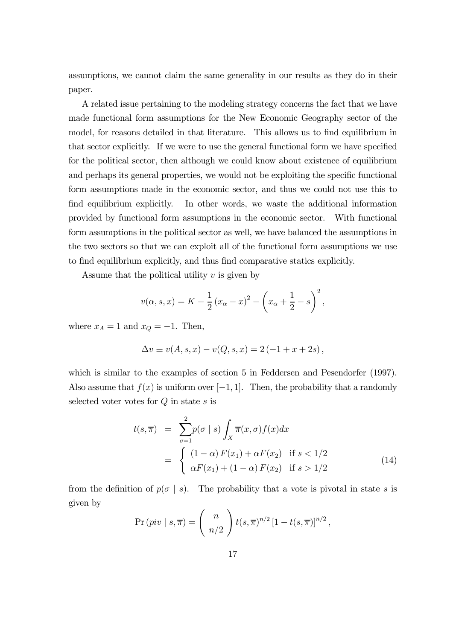assumptions, we cannot claim the same generality in our results as they do in their paper.

A related issue pertaining to the modeling strategy concerns the fact that we have made functional form assumptions for the New Economic Geography sector of the model, for reasons detailed in that literature. This allows us to find equilibrium in that sector explicitly. If we were to use the general functional form we have specified for the political sector, then although we could know about existence of equilibrium and perhaps its general properties, we would not be exploiting the specific functional form assumptions made in the economic sector, and thus we could not use this to find equilibrium explicitly. In other words, we waste the additional information provided by functional form assumptions in the economic sector. With functional form assumptions in the political sector as well, we have balanced the assumptions in the two sectors so that we can exploit all of the functional form assumptions we use to find equilibrium explicitly, and thus find comparative statics explicitly.

Assume that the political utility  $v$  is given by

$$
v(\alpha, s, x) = K - \frac{1}{2} (x_{\alpha} - x)^2 - (x_{\alpha} + \frac{1}{2} - s)^2
$$
,

where  $x_A = 1$  and  $x_Q = -1$ . Then,

$$
\Delta v \equiv v(A, s, x) - v(Q, s, x) = 2(-1 + x + 2s),
$$

which is similar to the examples of section 5 in Feddersen and Pesendorfer (1997). Also assume that  $f(x)$  is uniform over [−1, 1]. Then, the probability that a randomly selected voter votes for  $Q$  in state  $s$  is

$$
t(s,\overline{\pi}) = \sum_{\sigma=1}^{2} p(\sigma \mid s) \int_{X} \overline{\pi}(x,\sigma) f(x) dx
$$

$$
= \begin{cases} (1-\alpha) F(x_1) + \alpha F(x_2) & \text{if } s < 1/2\\ \alpha F(x_1) + (1-\alpha) F(x_2) & \text{if } s > 1/2 \end{cases}
$$
(14)

from the definition of  $p(\sigma | s)$ . The probability that a vote is pivotal in state s is given by

$$
\Pr\left(piv \mid s,\overline{\pi}\right) = \binom{n}{n/2} t(s,\overline{\pi})^{n/2} \left[1 - t(s,\overline{\pi})\right]^{n/2},
$$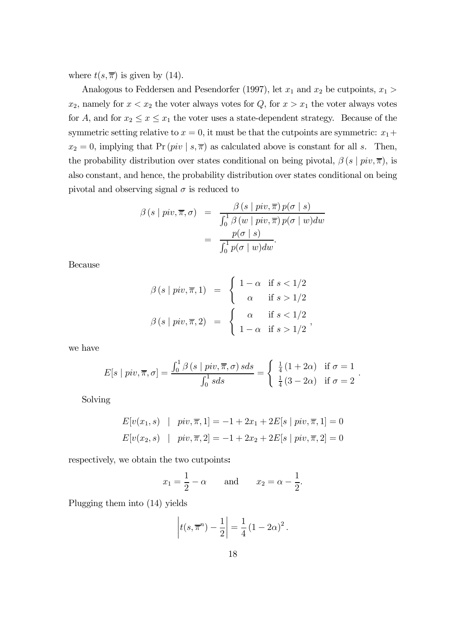where  $t(s, \overline{\pi})$  is given by (14).

Analogous to Feddersen and Pesendorfer (1997), let  $x_1$  and  $x_2$  be cutpoints,  $x_1 >$  $x_2$ , namely for  $x < x_2$  the voter always votes for  $Q$ , for  $x > x_1$  the voter always votes for A, and for  $x_2 \le x \le x_1$  the voter uses a state-dependent strategy. Because of the symmetric setting relative to  $x = 0$ , it must be that the cutpoints are symmetric:  $x_1 +$  $x_2 = 0$ , implying that Pr  $(piv \mid s, \overline{\pi})$  as calculated above is constant for all s. Then, the probability distribution over states conditional on being pivotal,  $\beta(s \mid piv, \overline{\pi})$ , is also constant, and hence, the probability distribution over states conditional on being pivotal and observing signal  $\sigma$  is reduced to

$$
\beta(s \mid piv, \overline{\pi}, \sigma) = \frac{\beta(s \mid piv, \overline{\pi}) p(\sigma \mid s)}{\int_0^1 \beta(w \mid piv, \overline{\pi}) p(\sigma \mid w) dw}
$$

$$
= \frac{p(\sigma \mid s)}{\int_0^1 p(\sigma \mid w) dw}.
$$

Because

$$
\beta(s \mid piv, \overline{\pi}, 1) = \begin{cases} 1 - \alpha & \text{if } s < 1/2 \\ \alpha & \text{if } s > 1/2 \end{cases}
$$

$$
\beta(s \mid piv, \overline{\pi}, 2) = \begin{cases} \alpha & \text{if } s < 1/2 \\ 1 - \alpha & \text{if } s > 1/2 \end{cases},
$$

we have

$$
E[s \mid piv, \overline{\pi}, \sigma] = \frac{\int_0^1 \beta(s \mid piv, \overline{\pi}, \sigma) \, s ds}{\int_0^1 s ds} = \begin{cases} \frac{1}{4} (1 + 2\alpha) & \text{if } \sigma = 1 \\ \frac{1}{4} (3 - 2\alpha) & \text{if } \sigma = 2 \end{cases}.
$$

Solving

$$
E[v(x_1, s) \mid piv, \overline{\pi}, 1] = -1 + 2x_1 + 2E[s \mid piv, \overline{\pi}, 1] = 0
$$
  

$$
E[v(x_2, s) \mid piv, \overline{\pi}, 2] = -1 + 2x_2 + 2E[s \mid piv, \overline{\pi}, 2] = 0
$$

respectively, we obtain the two cutpoints:

$$
x_1 = \frac{1}{2} - \alpha
$$
 and  $x_2 = \alpha - \frac{1}{2}$ .

Plugging them into (14) yields

$$
|t(s, \overline{\pi}^n) - \frac{1}{2}| = \frac{1}{4} (1 - 2\alpha)^2.
$$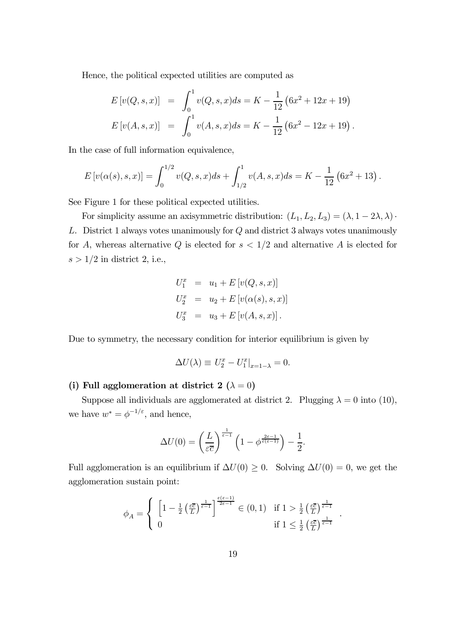Hence, the political expected utilities are computed as

$$
E[v(Q, s, x)] = \int_0^1 v(Q, s, x)ds = K - \frac{1}{12} (6x^2 + 12x + 19)
$$
  
\n
$$
E[v(A, s, x)] = \int_0^1 v(A, s, x)ds = K - \frac{1}{12} (6x^2 - 12x + 19).
$$

In the case of full information equivalence,

$$
E[v(\alpha(s), s, x)] = \int_0^{1/2} v(Q, s, x)ds + \int_{1/2}^1 v(A, s, x)ds = K - \frac{1}{12} (6x^2 + 13).
$$

See Figure 1 for these political expected utilities.

For simplicity assume an axisymmetric distribution:  $(L_1, L_2, L_3) = (\lambda, 1 - 2\lambda, \lambda)$ · L. District 1 always votes unanimously for Q and district 3 always votes unanimously for A, whereas alternative Q is elected for  $s < 1/2$  and alternative A is elected for  $s > 1/2$  in district 2, i.e.,

$$
U_1^x = u_1 + E[v(Q, s, x)]
$$
  
\n
$$
U_2^x = u_2 + E[v(\alpha(s), s, x)]
$$
  
\n
$$
U_3^x = u_3 + E[v(A, s, x)].
$$

Due to symmetry, the necessary condition for interior equilibrium is given by

$$
\Delta U(\lambda) \equiv U_2^x - U_1^x|_{x=1-\lambda} = 0.
$$

#### (i) Full agglomeration at district 2 ( $\lambda = 0$ )

Suppose all individuals are agglomerated at district 2. Plugging  $\lambda = 0$  into (10), we have  $w^* = \phi^{-1/\varepsilon}$ , and hence,

$$
\Delta U(0) = \left(\frac{L}{\varepsilon \overline{c}}\right)^{\frac{1}{\varepsilon - 1}} \left(1 - \phi^{\frac{2\varepsilon - 1}{\varepsilon(\varepsilon - 1)}}\right) - \frac{1}{2}.
$$

Full agglomeration is an equilibrium if  $\Delta U(0) \geq 0$ . Solving  $\Delta U(0) = 0$ , we get the agglomeration sustain point:

$$
\phi_A = \left\{ \begin{array}{l} \left[1 - \frac{1}{2} \left(\frac{\varepsilon \overline{c}}{L}\right)^{\frac{1}{\varepsilon - 1}}\right]^{\frac{\varepsilon (\varepsilon - 1)}{2\varepsilon - 1}} \in (0, 1) & \text{if } 1 > \frac{1}{2} \left(\frac{\varepsilon \overline{c}}{L}\right)^{\frac{1}{\varepsilon - 1}}\\ 0 & \text{if } 1 \leq \frac{1}{2} \left(\frac{\varepsilon \overline{c}}{L}\right)^{\frac{1}{\varepsilon - 1}} \end{array} \right.
$$

.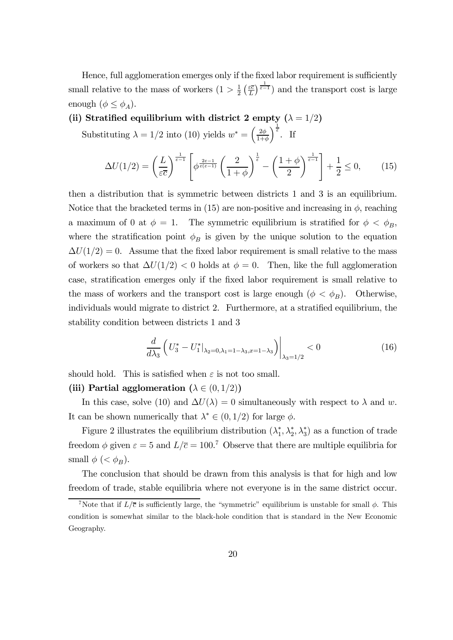Hence, full agglomeration emerges only if the fixed labor requirement is sufficiently small relative to the mass of workers  $(1 > \frac{1}{2})$  $rac{1}{2}$   $\left(\frac{\varepsilon\overline{c}}{L}\right)$  $(\frac{\varepsilon \bar{c}}{L})^{\frac{1}{\varepsilon-1}}$  and the transport cost is large enough  $(\phi \leq \phi_A)$ .

(ii) Stratified equilibrium with district 2 empty  $(\lambda = 1/2)$ 

Substituting  $\lambda = 1/2$  into (10) yields  $w^* = \left(\frac{2\phi}{1+\epsilon}\right)$  $1+\phi$  $\int_{\epsilon}^{\frac{1}{\epsilon}}$ . If

$$
\Delta U(1/2) = \left(\frac{L}{\varepsilon \overline{c}}\right)^{\frac{1}{\varepsilon - 1}} \left[\phi^{\frac{2\varepsilon - 1}{\varepsilon(\varepsilon - 1)}} \left(\frac{2}{1 + \phi}\right)^{\frac{1}{\varepsilon}} - \left(\frac{1 + \phi}{2}\right)^{\frac{1}{\varepsilon - 1}}\right] + \frac{1}{2} \le 0,\tag{15}
$$

then a distribution that is symmetric between districts 1 and 3 is an equilibrium. Notice that the bracketed terms in (15) are non-positive and increasing in  $\phi$ , reaching a maximum of 0 at  $\phi = 1$ . The symmetric equilibrium is stratified for  $\phi < \phi_B$ , where the stratification point  $\phi_B$  is given by the unique solution to the equation  $\Delta U(1/2) = 0$ . Assume that the fixed labor requirement is small relative to the mass of workers so that  $\Delta U(1/2) < 0$  holds at  $\phi = 0$ . Then, like the full agglomeration case, stratification emerges only if the fixed labor requirement is small relative to the mass of workers and the transport cost is large enough  $(\phi < \phi_B)$ . Otherwise, individuals would migrate to district 2. Furthermore, at a stratified equilibrium, the stability condition between districts 1 and 3

$$
\frac{d}{d\lambda_3} \left( U_3^* - U_1^* \big|_{\lambda_2 = 0, \lambda_1 = 1 - \lambda_3, x = 1 - \lambda_3} \right) \big|_{\lambda_3 = 1/2} < 0 \tag{16}
$$

should hold. This is satisfied when  $\varepsilon$  is not too small.

#### (iii) Partial agglomeration ( $\lambda \in (0, 1/2)$ )

In this case, solve (10) and  $\Delta U(\lambda)=0$  simultaneously with respect to  $\lambda$  and w. It can be shown numerically that  $\lambda^* \in (0, 1/2)$  for large  $\phi$ .

Figure 2 illustrates the equilibrium distribution  $(\lambda_1^*, \lambda_2^*, \lambda_3^*)$  as a function of trade freedom  $\phi$  given  $\varepsilon = 5$  and  $L/\overline{c} = 100$ .<sup>7</sup> Observe that there are multiple equilibria for small  $\phi \, ( $\phi_B$ ).$ 

The conclusion that should be drawn from this analysis is that for high and low freedom of trade, stable equilibria where not everyone is in the same district occur.

<sup>&</sup>lt;sup>7</sup>Note that if  $L/\bar{c}$  is sufficiently large, the "symmetric" equilibrium is unstable for small  $\phi$ . This condition is somewhat similar to the black-hole condition that is standard in the New Economic Geography.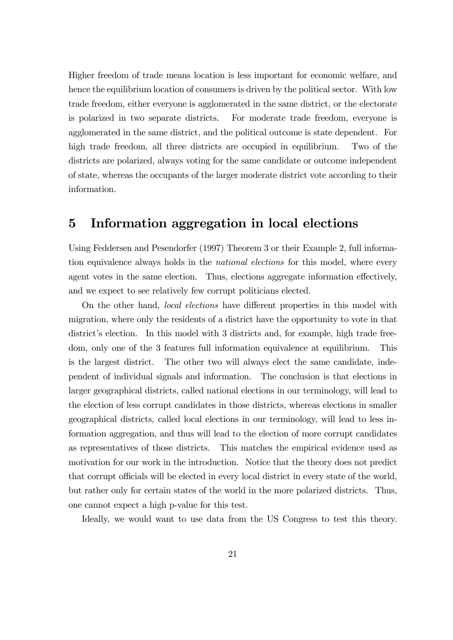Higher freedom of trade means location is less important for economic welfare, and hence the equilibrium location of consumers is driven by the political sector. With low trade freedom, either everyone is agglomerated in the same district, or the electorate is polarized in two separate districts. For moderate trade freedom, everyone is agglomerated in the same district, and the political outcome is state dependent. For high trade freedom, all three districts are occupied in equilibrium. Two of the districts are polarized, always voting for the same candidate or outcome independent of state, whereas the occupants of the larger moderate district vote according to their information.

## 5 Information aggregation in local elections

Using Feddersen and Pesendorfer (1997) Theorem 3 or their Example 2, full information equivalence always holds in the national elections for this model, where every agent votes in the same election. Thus, elections aggregate information effectively, and we expect to see relatively few corrupt politicians elected.

On the other hand, local elections have different properties in this model with migration, where only the residents of a district have the opportunity to vote in that district's election. In this model with 3 districts and, for example, high trade freedom, only one of the 3 features full information equivalence at equilibrium. This is the largest district. The other two will always elect the same candidate, independent of individual signals and information. The conclusion is that elections in larger geographical districts, called national elections in our terminology, will lead to the election of less corrupt candidates in those districts, whereas elections in smaller geographical districts, called local elections in our terminology, will lead to less information aggregation, and thus will lead to the election of more corrupt candidates as representatives of those districts. This matches the empirical evidence used as motivation for our work in the introduction. Notice that the theory does not predict that corrupt officials will be elected in every local district in every state of the world, but rather only for certain states of the world in the more polarized districts. Thus, one cannot expect a high p-value for this test.

Ideally, we would want to use data from the US Congress to test this theory.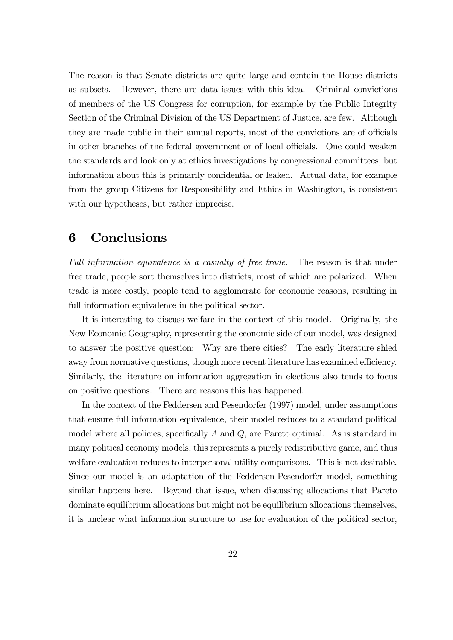The reason is that Senate districts are quite large and contain the House districts as subsets. However, there are data issues with this idea. Criminal convictions of members of the US Congress for corruption, for example by the Public Integrity Section of the Criminal Division of the US Department of Justice, are few. Although they are made public in their annual reports, most of the convictions are of officials in other branches of the federal government or of local officials. One could weaken the standards and look only at ethics investigations by congressional committees, but information about this is primarily confidential or leaked. Actual data, for example from the group Citizens for Responsibility and Ethics in Washington, is consistent with our hypotheses, but rather imprecise.

## 6 Conclusions

Full information equivalence is a casualty of free trade. The reason is that under free trade, people sort themselves into districts, most of which are polarized. When trade is more costly, people tend to agglomerate for economic reasons, resulting in full information equivalence in the political sector.

It is interesting to discuss welfare in the context of this model. Originally, the New Economic Geography, representing the economic side of our model, was designed to answer the positive question: Why are there cities? The early literature shied away from normative questions, though more recent literature has examined efficiency. Similarly, the literature on information aggregation in elections also tends to focus on positive questions. There are reasons this has happened.

In the context of the Feddersen and Pesendorfer (1997) model, under assumptions that ensure full information equivalence, their model reduces to a standard political model where all policies, specifically  $A$  and  $Q$ , are Pareto optimal. As is standard in many political economy models, this represents a purely redistributive game, and thus welfare evaluation reduces to interpersonal utility comparisons. This is not desirable. Since our model is an adaptation of the Feddersen-Pesendorfer model, something similar happens here. Beyond that issue, when discussing allocations that Pareto dominate equilibrium allocations but might not be equilibrium allocations themselves, it is unclear what information structure to use for evaluation of the political sector,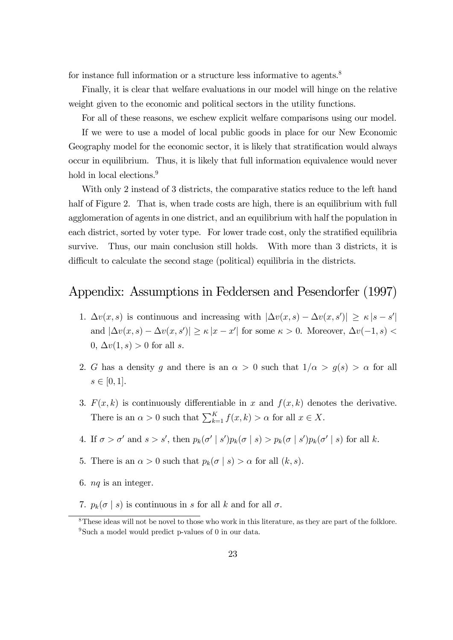for instance full information or a structure less informative to agents.<sup>8</sup>

Finally, it is clear that welfare evaluations in our model will hinge on the relative weight given to the economic and political sectors in the utility functions.

For all of these reasons, we eschew explicit welfare comparisons using our model.

If we were to use a model of local public goods in place for our New Economic Geography model for the economic sector, it is likely that stratification would always occur in equilibrium. Thus, it is likely that full information equivalence would never hold in local elections.<sup>9</sup>

With only 2 instead of 3 districts, the comparative statics reduce to the left hand half of Figure 2. That is, when trade costs are high, there is an equilibrium with full agglomeration of agents in one district, and an equilibrium with half the population in each district, sorted by voter type. For lower trade cost, only the stratified equilibria survive. Thus, our main conclusion still holds. With more than 3 districts, it is difficult to calculate the second stage (political) equilibria in the districts.

## Appendix: Assumptions in Feddersen and Pesendorfer (1997)

- 1.  $\Delta v(x, s)$  is continuous and increasing with  $|\Delta v(x, s) \Delta v(x, s')| \geq \kappa |s s'|$ and  $|\Delta v(x, s) - \Delta v(x, s')| \ge \kappa |x - x'|$  for some  $\kappa > 0$ . Moreover,  $\Delta v(-1, s) <$ 0,  $\Delta v(1, s) > 0$  for all s.
- 2. G has a density g and there is an  $\alpha > 0$  such that  $1/\alpha > g(s) > \alpha$  for all  $s \in [0, 1].$
- 3.  $F(x, k)$  is continuously differentiable in x and  $f(x, k)$  denotes the derivative. There is an  $\alpha > 0$  such that  $\sum_{k=1}^{K} f(x, k) > \alpha$  for all  $x \in X$ .
- 4. If  $\sigma > \sigma'$  and  $s > s'$ , then  $p_k(\sigma | s')p_k(\sigma | s) > p_k(\sigma | s')p_k(\sigma' | s)$  for all k.
- 5. There is an  $\alpha > 0$  such that  $p_k(\sigma | s) > \alpha$  for all  $(k, s)$ .
- 6. nq is an integer.
- 7.  $p_k(\sigma | s)$  is continuous in s for all k and for all  $\sigma$ .

<sup>&</sup>lt;sup>8</sup>These ideas will not be novel to those who work in this literature, as they are part of the folklore. <sup>9</sup>Such a model would predict p-values of 0 in our data.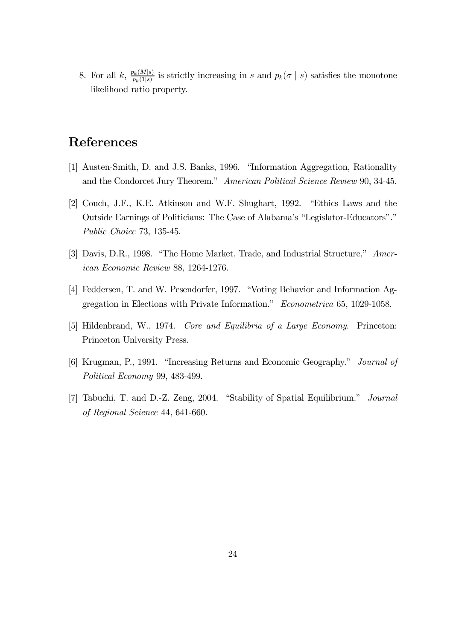8. For all k,  $\frac{p_k(M|s)}{p_k(M|s)}$  $p_k(M|s)$  is strictly increasing in s and  $p_k(\sigma | s)$  satisfies the monotone likelihood ratio property.

## References

- [1] Austen-Smith, D. and J.S. Banks, 1996. "Information Aggregation, Rationality and the Condorcet Jury Theorem." American Political Science Review 90, 34-45.
- [2] Couch, J.F., K.E. Atkinson and W.F. Shughart, 1992. "Ethics Laws and the Outside Earnings of Politicians: The Case of Alabama's "Legislator-Educators"." Public Choice 73, 135-45.
- [3] Davis, D.R., 1998. "The Home Market, Trade, and Industrial Structure," American Economic Review 88, 1264-1276.
- [4] Feddersen, T. and W. Pesendorfer, 1997. "Voting Behavior and Information Aggregation in Elections with Private Information." Econometrica 65, 1029-1058.
- [5] Hildenbrand, W., 1974. Core and Equilibria of a Large Economy. Princeton: Princeton University Press.
- [6] Krugman, P., 1991. "Increasing Returns and Economic Geography." Journal of Political Economy 99, 483-499.
- [7] Tabuchi, T. and D.-Z. Zeng, 2004. "Stability of Spatial Equilibrium." Journal of Regional Science 44, 641-660.